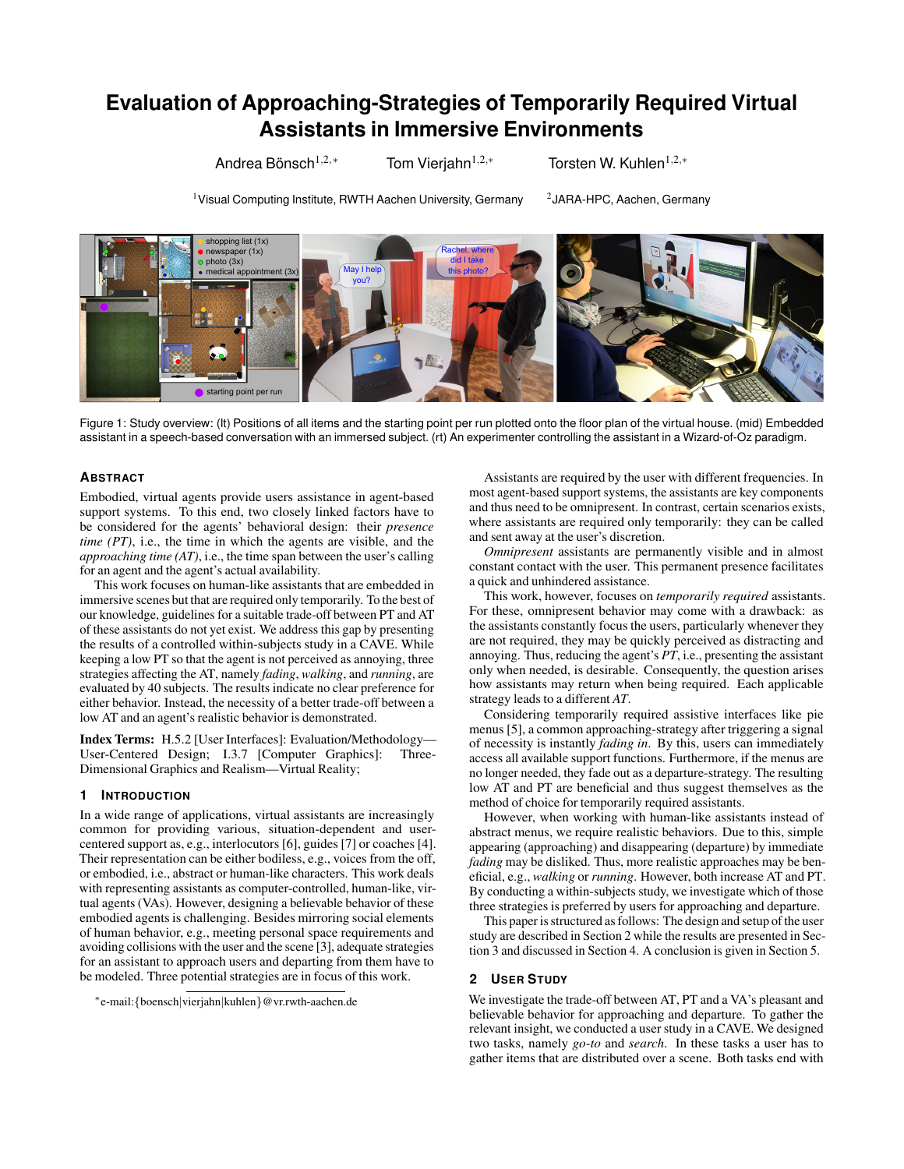# **Evaluation of Approaching-Strategies of Temporarily Required Virtual Assistants in Immersive Environments**

Andrea Bönsch $1,2,*$ 

Tom Vierjahn<sup>1,2,∗</sup> Torsten W. Kuhlen<sup>1,2,</sup>∗

<sup>1</sup> Visual Computing Institute, RWTH Aachen University, Germany  $2JARA$ -HPC, Aachen, Germany



Figure 1: Study overview: (lt) Positions of all items and the starting point per run plotted onto the floor plan of the virtual house. (mid) Embedded assistant in a speech-based conversation with an immersed subject. (rt) An experimenter controlling the assistant in a Wizard-of-Oz paradigm.

# **ABSTRACT**

Embodied, virtual agents provide users assistance in agent-based support systems. To this end, two closely linked factors have to be considered for the agents' behavioral design: their *presence time (PT)*, i.e., the time in which the agents are visible, and the *approaching time (AT)*, i.e., the time span between the user's calling for an agent and the agent's actual availability.

This work focuses on human-like assistants that are embedded in immersive scenes but that are required only temporarily. To the best of our knowledge, guidelines for a suitable trade-off between PT and AT of these assistants do not yet exist. We address this gap by presenting the results of a controlled within-subjects study in a CAVE. While keeping a low PT so that the agent is not perceived as annoying, three strategies affecting the AT, namely *fading*, *walking*, and *running*, are evaluated by 40 subjects. The results indicate no clear preference for either behavior. Instead, the necessity of a better trade-off between a low AT and an agent's realistic behavior is demonstrated.

Index Terms: H.5.2 [User Interfaces]: Evaluation/Methodology— User-Centered Design; I.3.7 [Computer Graphics]: Three-Dimensional Graphics and Realism—Virtual Reality;

# **1 INTRODUCTION**

In a wide range of applications, virtual assistants are increasingly common for providing various, situation-dependent and usercentered support as, e.g., interlocutors [6], guides [7] or coaches [4]. Their representation can be either bodiless, e.g., voices from the off, or embodied, i.e., abstract or human-like characters. This work deals with representing assistants as computer-controlled, human-like, virtual agents (VAs). However, designing a believable behavior of these embodied agents is challenging. Besides mirroring social elements of human behavior, e.g., meeting personal space requirements and avoiding collisions with the user and the scene [3], adequate strategies for an assistant to approach users and departing from them have to be modeled. Three potential strategies are in focus of this work.

∗ e-mail:{boensch|vierjahn|kuhlen}@vr.rwth-aachen.de

Assistants are required by the user with different frequencies. In most agent-based support systems, the assistants are key components and thus need to be omnipresent. In contrast, certain scenarios exists, where assistants are required only temporarily: they can be called and sent away at the user's discretion.

*Omnipresent* assistants are permanently visible and in almost constant contact with the user. This permanent presence facilitates a quick and unhindered assistance.

This work, however, focuses on *temporarily required* assistants. For these, omnipresent behavior may come with a drawback: as the assistants constantly focus the users, particularly whenever they are not required, they may be quickly perceived as distracting and annoying. Thus, reducing the agent's *PT*, i.e., presenting the assistant only when needed, is desirable. Consequently, the question arises how assistants may return when being required. Each applicable strategy leads to a different *AT*.

Considering temporarily required assistive interfaces like pie menus [5], a common approaching-strategy after triggering a signal of necessity is instantly *fading in*. By this, users can immediately access all available support functions. Furthermore, if the menus are no longer needed, they fade out as a departure-strategy. The resulting low AT and PT are beneficial and thus suggest themselves as the method of choice for temporarily required assistants.

However, when working with human-like assistants instead of abstract menus, we require realistic behaviors. Due to this, simple appearing (approaching) and disappearing (departure) by immediate *fading* may be disliked. Thus, more realistic approaches may be beneficial, e.g., *walking* or *running*. However, both increase AT and PT. By conducting a within-subjects study, we investigate which of those three strategies is preferred by users for approaching and departure.

This paper is structured as follows: The design and setup of the user study are described in Section 2 while the results are presented in Section 3 and discussed in Section 4. A conclusion is given in Section 5.

# **2 USER STUDY**

We investigate the trade-off between AT, PT and a VA's pleasant and believable behavior for approaching and departure. To gather the relevant insight, we conducted a user study in a CAVE. We designed two tasks, namely *go-to* and *search*. In these tasks a user has to gather items that are distributed over a scene. Both tasks end with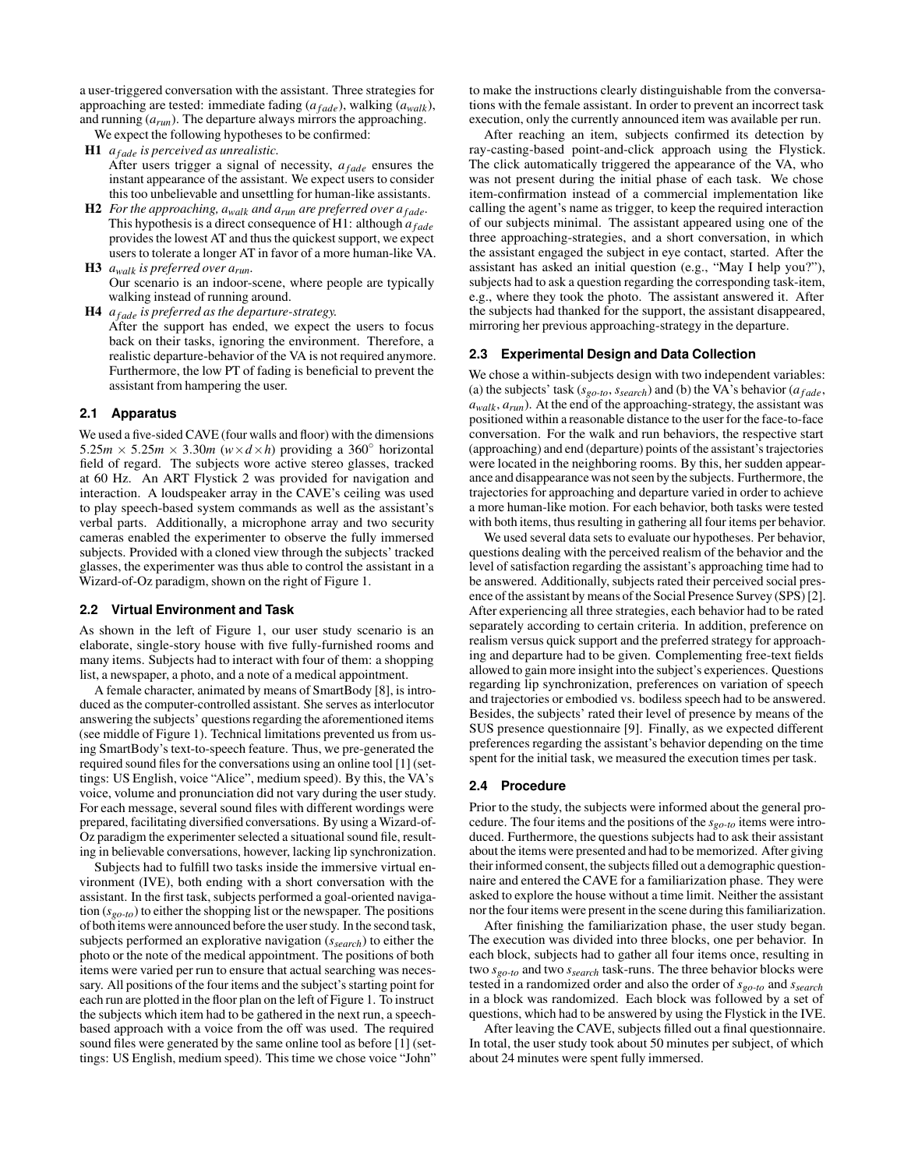a user-triggered conversation with the assistant. Three strategies for approaching are tested: immediate fading (*af ade*), walking (*awalk*), and running (*arun*). The departure always mirrors the approaching.

We expect the following hypotheses to be confirmed:

H1 *af ade is perceived as unrealistic.*

After users trigger a signal of necessity,  $a_{fade}$  ensures the instant appearance of the assistant. We expect users to consider this too unbelievable and unsettling for human-like assistants.

- **H2** For the approaching,  $a_{walk}$  and  $a_{run}$  are preferred over  $a_{fade}$ . This hypothesis is a direct consequence of H1: although  $a_{\text{fade}}$ provides the lowest AT and thus the quickest support, we expect users to tolerate a longer AT in favor of a more human-like VA. H3 *awalk is preferred over arun.*
- Our scenario is an indoor-scene, where people are typically walking instead of running around.
- H4 *af ade is preferred as the departure-strategy.* After the support has ended, we expect the users to focus back on their tasks, ignoring the environment. Therefore, a realistic departure-behavior of the VA is not required anymore. Furthermore, the low PT of fading is beneficial to prevent the assistant from hampering the user.

# **2.1 Apparatus**

We used a five-sided CAVE (four walls and floor) with the dimensions 5.25 $m \times$  5.25 $m \times$  3.30 $m$  ( $w \times d \times h$ ) providing a 360 $\degree$  horizontal field of regard. The subjects wore active stereo glasses, tracked at 60 Hz. An ART Flystick 2 was provided for navigation and interaction. A loudspeaker array in the CAVE's ceiling was used to play speech-based system commands as well as the assistant's verbal parts. Additionally, a microphone array and two security cameras enabled the experimenter to observe the fully immersed subjects. Provided with a cloned view through the subjects' tracked glasses, the experimenter was thus able to control the assistant in a Wizard-of-Oz paradigm, shown on the right of Figure 1.

#### **2.2 Virtual Environment and Task**

As shown in the left of Figure 1, our user study scenario is an elaborate, single-story house with five fully-furnished rooms and many items. Subjects had to interact with four of them: a shopping list, a newspaper, a photo, and a note of a medical appointment.

A female character, animated by means of SmartBody [8], is introduced as the computer-controlled assistant. She serves as interlocutor answering the subjects' questions regarding the aforementioned items (see middle of Figure 1). Technical limitations prevented us from using SmartBody's text-to-speech feature. Thus, we pre-generated the required sound files for the conversations using an online tool [1] (settings: US English, voice "Alice", medium speed). By this, the VA's voice, volume and pronunciation did not vary during the user study. For each message, several sound files with different wordings were prepared, facilitating diversified conversations. By using a Wizard-of-Oz paradigm the experimenter selected a situational sound file, resulting in believable conversations, however, lacking lip synchronization.

Subjects had to fulfill two tasks inside the immersive virtual environment (IVE), both ending with a short conversation with the assistant. In the first task, subjects performed a goal-oriented navigation (*sgo-to*) to either the shopping list or the newspaper. The positions of both items were announced before the user study. In the second task, subjects performed an explorative navigation (*ssearch*) to either the photo or the note of the medical appointment. The positions of both items were varied per run to ensure that actual searching was necessary. All positions of the four items and the subject's starting point for each run are plotted in the floor plan on the left of Figure 1. To instruct the subjects which item had to be gathered in the next run, a speechbased approach with a voice from the off was used. The required sound files were generated by the same online tool as before [1] (settings: US English, medium speed). This time we chose voice "John" to make the instructions clearly distinguishable from the conversations with the female assistant. In order to prevent an incorrect task execution, only the currently announced item was available per run.

After reaching an item, subjects confirmed its detection by ray-casting-based point-and-click approach using the Flystick. The click automatically triggered the appearance of the VA, who was not present during the initial phase of each task. We chose item-confirmation instead of a commercial implementation like calling the agent's name as trigger, to keep the required interaction of our subjects minimal. The assistant appeared using one of the three approaching-strategies, and a short conversation, in which the assistant engaged the subject in eye contact, started. After the assistant has asked an initial question (e.g., "May I help you?"), subjects had to ask a question regarding the corresponding task-item, e.g., where they took the photo. The assistant answered it. After the subjects had thanked for the support, the assistant disappeared, mirroring her previous approaching-strategy in the departure.

## **2.3 Experimental Design and Data Collection**

We chose a within-subjects design with two independent variables: (a) the subjects' task ( $s_{go-to}, s_{search}$ ) and (b) the VA's behavior ( $a_{fade}$ , *awalk*, *arun*). At the end of the approaching-strategy, the assistant was positioned within a reasonable distance to the user for the face-to-face conversation. For the walk and run behaviors, the respective start (approaching) and end (departure) points of the assistant's trajectories were located in the neighboring rooms. By this, her sudden appearance and disappearance was not seen by the subjects. Furthermore, the trajectories for approaching and departure varied in order to achieve a more human-like motion. For each behavior, both tasks were tested with both items, thus resulting in gathering all four items per behavior.

We used several data sets to evaluate our hypotheses. Per behavior, questions dealing with the perceived realism of the behavior and the level of satisfaction regarding the assistant's approaching time had to be answered. Additionally, subjects rated their perceived social presence of the assistant by means of the Social Presence Survey (SPS) [2]. After experiencing all three strategies, each behavior had to be rated separately according to certain criteria. In addition, preference on realism versus quick support and the preferred strategy for approaching and departure had to be given. Complementing free-text fields allowed to gain more insight into the subject's experiences. Questions regarding lip synchronization, preferences on variation of speech and trajectories or embodied vs. bodiless speech had to be answered. Besides, the subjects' rated their level of presence by means of the SUS presence questionnaire [9]. Finally, as we expected different preferences regarding the assistant's behavior depending on the time spent for the initial task, we measured the execution times per task.

#### **2.4 Procedure**

Prior to the study, the subjects were informed about the general procedure. The four items and the positions of the *sgo-to* items were introduced. Furthermore, the questions subjects had to ask their assistant about the items were presented and had to be memorized. After giving their informed consent, the subjects filled out a demographic questionnaire and entered the CAVE for a familiarization phase. They were asked to explore the house without a time limit. Neither the assistant nor the four items were present in the scene during this familiarization.

After finishing the familiarization phase, the user study began. The execution was divided into three blocks, one per behavior. In each block, subjects had to gather all four items once, resulting in two *sgo-to* and two *ssearch* task-runs. The three behavior blocks were tested in a randomized order and also the order of *sgo-to* and *ssearch* in a block was randomized. Each block was followed by a set of questions, which had to be answered by using the Flystick in the IVE.

After leaving the CAVE, subjects filled out a final questionnaire. In total, the user study took about 50 minutes per subject, of which about 24 minutes were spent fully immersed.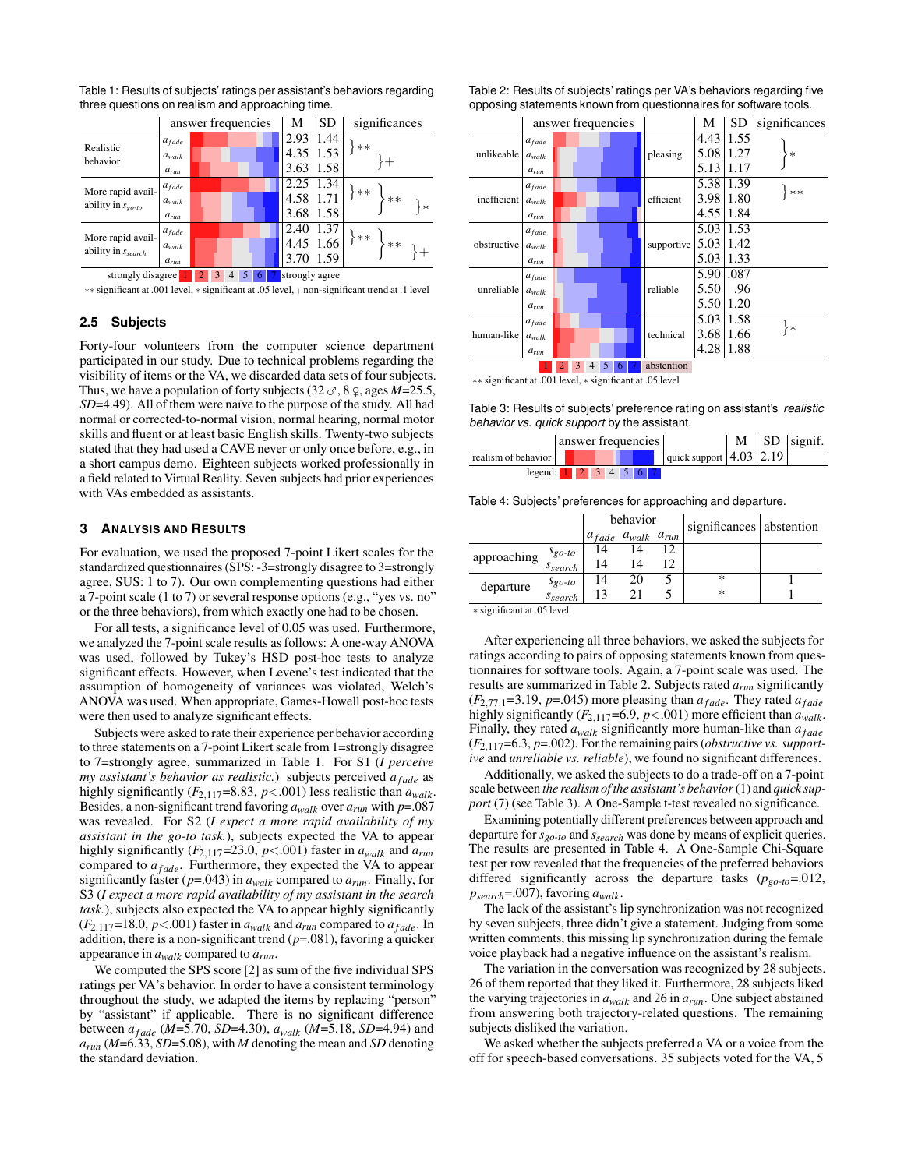|                                              |                  | answer frequencies | М                | SD               | significances                                                                                                                                                                               |          |
|----------------------------------------------|------------------|--------------------|------------------|------------------|---------------------------------------------------------------------------------------------------------------------------------------------------------------------------------------------|----------|
| Realistic<br>behavior                        | $a_{fade}$       |                    | 2.93             | 1.44             |                                                                                                                                                                                             |          |
|                                              | $a_{walk}$       |                    | $4.35 \mid 1.53$ |                  | ∤∗∗                                                                                                                                                                                         |          |
|                                              | $a_{run}$        |                    |                  | $3.63 \mid 1.58$ |                                                                                                                                                                                             |          |
| More rapid avail-<br>ability in $s_{go-to}$  | $a_{fade}$       |                    | 2.25             | 1.34             |                                                                                                                                                                                             |          |
|                                              | $a_{walk}$       |                    |                  | $4.58$   1.71    | $\{*\}$ ** $\}$ **                                                                                                                                                                          | )<br>} * |
|                                              | a <sub>run</sub> |                    |                  | $3.68$   1.58    |                                                                                                                                                                                             |          |
| More rapid avail-<br>ability in $s_{search}$ | $a_{fade}$       |                    | 2.40             | 1.37             |                                                                                                                                                                                             |          |
|                                              | $a_{walk}$       |                    |                  |                  | $\left\{ \begin{array}{l} 2.40 \\ 4.45 \end{array} \right\}$ +* $\left\{ \begin{array}{l} 1.3 \\ 1.66 \end{array} \right\}$ +* $\left\{ \begin{array}{l} 1.5 \\ 1.4 \end{array} \right\}$ + |          |
|                                              | $a_{run}$        |                    |                  | 3.70 1.59        |                                                                                                                                                                                             |          |
|                                              |                  |                    |                  |                  |                                                                                                                                                                                             |          |

Table 1: Results of subjects' ratings per assistant's behaviors regarding three questions on realism and approaching time.

strongly disagree  $\begin{array}{|c|c|c|c|c|c|c|c|c|} \hline 1 & 2 & 3 & 4 & 5 & 6 & 7 \\ \hline \end{array}$  strongly agree

∗∗ significant at .001 level, ∗ significant at .05 level, <sup>+</sup> non-significant trend at .1 level

## **2.5 Subjects**

Forty-four volunteers from the computer science department participated in our study. Due to technical problems regarding the visibility of items or the VA, we discarded data sets of four subjects. Thus, we have a population of forty subjects  $(32 \sigma, 8 \rho, \text{ages } M=25.5,$ *SD*=4.49). All of them were naïve to the purpose of the study. All had normal or corrected-to-normal vision, normal hearing, normal motor skills and fluent or at least basic English skills. Twenty-two subjects stated that they had used a CAVE never or only once before, e.g., in a short campus demo. Eighteen subjects worked professionally in a field related to Virtual Reality. Seven subjects had prior experiences with VAs embedded as assistants.

## **3 ANALYSIS AND RESULTS**

For evaluation, we used the proposed 7-point Likert scales for the standardized questionnaires (SPS: -3=strongly disagree to 3=strongly agree, SUS: 1 to 7). Our own complementing questions had either a 7-point scale (1 to 7) or several response options (e.g., "yes vs. no" or the three behaviors), from which exactly one had to be chosen.

For all tests, a significance level of 0.05 was used. Furthermore, we analyzed the 7-point scale results as follows: A one-way ANOVA was used, followed by Tukey's HSD post-hoc tests to analyze significant effects. However, when Levene's test indicated that the assumption of homogeneity of variances was violated, Welch's ANOVA was used. When appropriate, Games-Howell post-hoc tests were then used to analyze significant effects.

Subjects were asked to rate their experience per behavior according to three statements on a 7-point Likert scale from 1=strongly disagree to 7=strongly agree, summarized in Table 1. For S1 (*I perceive my assistant's behavior as realistic.*) subjects perceived  $a_{\text{fade}}$  as highly significantly (*F*2,117=8.83, *p*<.001) less realistic than *awalk*. Besides, a non-significant trend favoring *awalk* over *arun* with *p*=.087 was revealed. For S2 (*I expect a more rapid availability of my assistant in the go-to task.*), subjects expected the VA to appear highly significantly (*F*2,117=23.0, *p*<.001) faster in *awalk* and *arun* compared to  $a_{\text{fade}}$ . Furthermore, they expected the VA to appear significantly faster (*p*=.043) in *awalk* compared to *arun*. Finally, for S3 (*I expect a more rapid availability of my assistant in the search task.*), subjects also expected the VA to appear highly significantly  $(F_{2,117} = 18.0, p < .001)$  faster in  $a_{walk}$  and  $a_{run}$  compared to  $a_{fade}$ . In addition, there is a non-significant trend (*p*=.081), favoring a quicker appearance in *awalk* compared to *arun*.

We computed the SPS score [2] as sum of the five individual SPS ratings per VA's behavior. In order to have a consistent terminology throughout the study, we adapted the items by replacing "person" by "assistant" if applicable. There is no significant difference between *af ade* (*M*=5.70, *SD*=4.30), *awalk* (*M*=5.18, *SD*=4.94) and *arun* (*M*=6.33, *SD*=5.08), with *M* denoting the mean and *SD* denoting the standard deviation.

Table 2: Results of subjects' ratings per VA's behaviors regarding five opposing statements known from questionnaires for software tools.

|             | answer frequencies |                |   |                |   |   |            | М    | <b>SD</b> | significances |
|-------------|--------------------|----------------|---|----------------|---|---|------------|------|-----------|---------------|
| unlikeable  | $a_{fade}$         |                |   |                |   |   |            | 4.43 | 1.55      |               |
|             | $a_{walk}$         |                |   |                |   |   | pleasing   | 5.08 | 1.27      | $\ast$        |
|             | $a_{run}$          |                |   |                |   |   |            | 5.13 | 1.17      |               |
|             | $a_{fade}$         |                |   |                |   |   |            | 5.38 | 1.39      |               |
| inefficient | $a_{walk}$         |                |   |                |   |   | efficient  | 3.98 | 1.80      | ∤∗∗           |
|             | a <sub>run</sub>   |                |   |                |   |   |            | 4.55 | 1.84      |               |
| obstructive | $a_{fade}$         |                |   |                |   |   |            | 5.03 | 1.53      |               |
|             | $a_{walk}$         |                |   |                |   |   | supportive | 5.03 | 1.42      |               |
|             | $a_{run}$          |                |   |                |   |   |            | 5.03 | 1.33      |               |
|             | $a_{\text{fade}}$  |                |   |                |   |   |            | 5.90 | .087      |               |
| unreliable  | $a_{walk}$         |                |   |                |   |   | reliable   | 5.50 | .96       |               |
|             | $a_{run}$          |                |   |                |   |   |            | 5.50 | 1.20      |               |
| human-like  | $a_{\text{fade}}$  |                |   |                |   |   |            | 5.03 | 1.58      |               |
|             | $a_{walk}$         |                |   |                |   |   | technical  | 3.68 | 1.66      | }∗            |
|             | $a_{run}$          |                |   |                |   |   |            | 4.28 | 1.88      |               |
|             |                    | $\overline{2}$ | 3 | $\overline{4}$ | 5 | 6 | abstention |      |           |               |

∗∗ significant at .001 level, ∗ significant at .05 level

Table 3: Results of subjects' preference rating on assistant's *realistic behavior vs. quick support* by the assistant.

|                                     | answer frequencies |  |  |  |  |  |  |                                        |  | $M \mid SD$ signif. |
|-------------------------------------|--------------------|--|--|--|--|--|--|----------------------------------------|--|---------------------|
| realism of behavior                 |                    |  |  |  |  |  |  | quick support $\boxed{4.03 \mid 2.19}$ |  |                     |
| legend: $1 \ 2 \ 3 \ 4 \ 5 \ 6 \ 7$ |                    |  |  |  |  |  |  |                                        |  |                     |

Table 4: Subjects' preferences for approaching and departure.

|             |                             |    | behavior                                             |   | significances abstention |  |
|-------------|-----------------------------|----|------------------------------------------------------|---|--------------------------|--|
|             |                             |    | $a_{\text{fade}}$ $a_{\text{walk}}$ $a_{\text{run}}$ |   |                          |  |
| approaching |                             | 14 |                                                      |   |                          |  |
|             | $s_{go-to}$<br>$s_{search}$ | 14 |                                                      |   |                          |  |
| departure   | $s_{go-to}$                 | 14 | 20                                                   | ∗ |                          |  |
|             | Ssearch                     |    |                                                      | ∗ |                          |  |
| . .         |                             |    |                                                      |   |                          |  |

∗ significant at .05 level

After experiencing all three behaviors, we asked the subjects for ratings according to pairs of opposing statements known from questionnaires for software tools. Again, a 7-point scale was used. The results are summarized in Table 2. Subjects rated *arun* significantly  $(F_{2,77,1}=3.19, p=.045)$  more pleasing than  $a_{\text{fade}}$ . They rated  $a_{\text{fade}}$ highly significantly (*F*2,117=6.9, *p*<.001) more efficient than *awalk*. Finally, they rated  $a_{walk}$  significantly more human-like than  $a_{fade}$ (*F*2,117=6.3, *p*=.002). For the remaining pairs (*obstructive vs. supportive* and *unreliable vs. reliable*), we found no significant differences.

Additionally, we asked the subjects to do a trade-off on a 7-point scale between *the realism of the assistant's behavior*(1) and *quick support* (7) (see Table 3). A One-Sample t-test revealed no significance.

Examining potentially different preferences between approach and departure for *sgo-to* and *ssearch* was done by means of explicit queries. The results are presented in Table 4. A One-Sample Chi-Square test per row revealed that the frequencies of the preferred behaviors differed significantly across the departure tasks (*pgo-to*=.012, *psearch*=.007), favoring *awalk*.

The lack of the assistant's lip synchronization was not recognized by seven subjects, three didn't give a statement. Judging from some written comments, this missing lip synchronization during the female voice playback had a negative influence on the assistant's realism.

The variation in the conversation was recognized by 28 subjects. 26 of them reported that they liked it. Furthermore, 28 subjects liked the varying trajectories in *awalk* and 26 in *arun*. One subject abstained from answering both trajectory-related questions. The remaining subjects disliked the variation.

We asked whether the subjects preferred a VA or a voice from the off for speech-based conversations. 35 subjects voted for the VA, 5